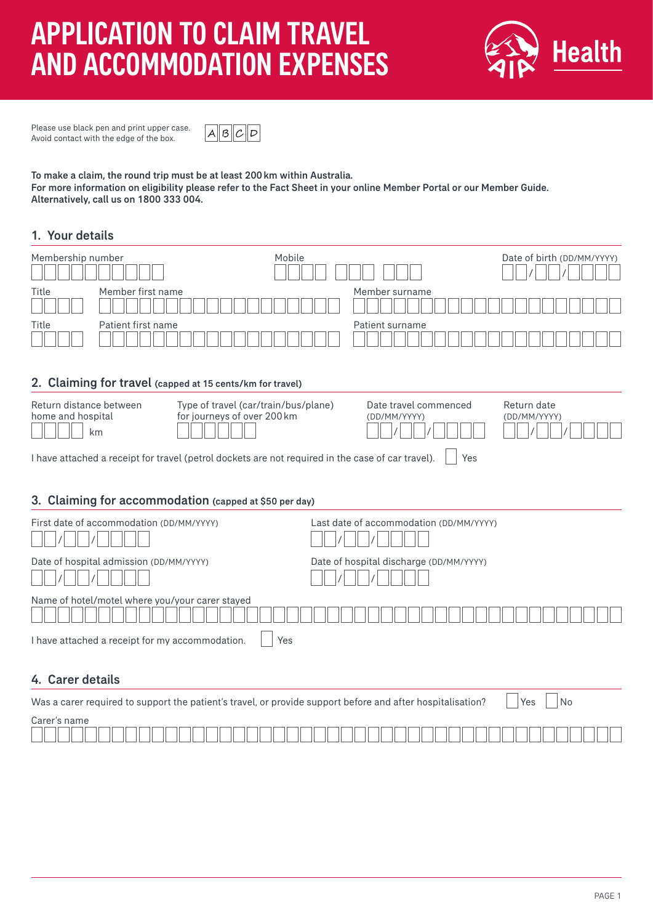# APPLICATION TO CLAIM TRAVEL AND ACCOMMODATION EXPENSES



Please use black pen and print upper case. Avoid contact with the edge of the box.



To make a claim, the round trip must be at least 200km within Australia. For more information on eligibility please refer to the Fact Sheet in your online Member Portal or our Member Guide. Alternatively, call us on 1800 333 004.

## 1. Your details

| Membership number                                                                                          | Mobile |                                         | Date of birth (DD/MM/YYYY) |  |
|------------------------------------------------------------------------------------------------------------|--------|-----------------------------------------|----------------------------|--|
|                                                                                                            |        |                                         |                            |  |
| Member first name<br>Title                                                                                 |        | Member surname                          |                            |  |
|                                                                                                            |        |                                         |                            |  |
| Patient first name<br>Title                                                                                |        | Patient surname                         |                            |  |
|                                                                                                            |        |                                         |                            |  |
|                                                                                                            |        |                                         |                            |  |
| 2. Claiming for travel (capped at 15 cents/km for travel)                                                  |        |                                         |                            |  |
| Return distance between<br>Type of travel (car/train/bus/plane)                                            |        | Date travel commenced                   | Return date                |  |
| home and hospital<br>for journeys of over 200 km                                                           |        | (DD/MM/YYYY)                            | (DD/MM/YYYY)               |  |
| km                                                                                                         |        |                                         |                            |  |
| I have attached a receipt for travel (petrol dockets are not required in the case of car travel).<br>Yes   |        |                                         |                            |  |
|                                                                                                            |        |                                         |                            |  |
| 3. Claiming for accommodation (capped at \$50 per day)                                                     |        |                                         |                            |  |
|                                                                                                            |        |                                         |                            |  |
| First date of accommodation (DD/MM/YYYY)                                                                   |        | Last date of accommodation (DD/MM/YYYY) |                            |  |
| Date of hospital admission (DD/MM/YYYY)                                                                    |        | Date of hospital discharge (DD/MM/YYYY) |                            |  |
|                                                                                                            |        |                                         |                            |  |
| Name of hotel/motel where you/your carer stayed                                                            |        |                                         |                            |  |
|                                                                                                            |        |                                         |                            |  |
| I have attached a receipt for my accommodation.<br>Yes                                                     |        |                                         |                            |  |
|                                                                                                            |        |                                         |                            |  |
| 4. Carer details                                                                                           |        |                                         |                            |  |
| Was a carer required to support the patient's travel, or provide support before and after hospitalisation? |        |                                         | No<br>Yes                  |  |
| Carer's name                                                                                               |        |                                         |                            |  |
|                                                                                                            |        |                                         |                            |  |